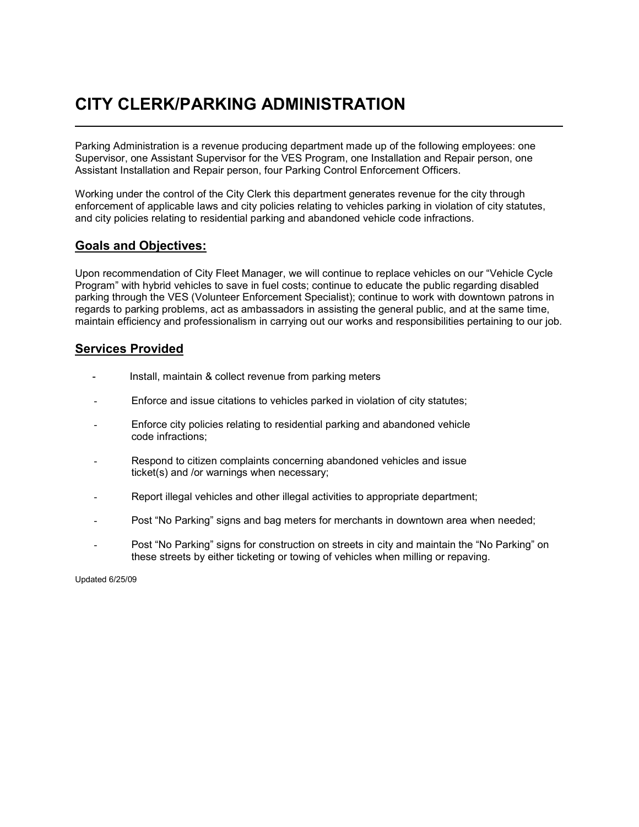## **CITY CLERK/PARKING ADMINISTRATION**

Parking Administration is a revenue producing department made up of the following employees: one Supervisor, one Assistant Supervisor for the VES Program, one Installation and Repair person, one Assistant Installation and Repair person, four Parking Control Enforcement Officers.

Working under the control of the City Clerk this department generates revenue for the city through enforcement of applicable laws and city policies relating to vehicles parking in violation of city statutes, and city policies relating to residential parking and abandoned vehicle code infractions.

## **Goals and Objectives:**

Upon recommendation of City Fleet Manager, we will continue to replace vehicles on our "Vehicle Cycle Program" with hybrid vehicles to save in fuel costs; continue to educate the public regarding disabled parking through the VES (Volunteer Enforcement Specialist); continue to work with downtown patrons in regards to parking problems, act as ambassadors in assisting the general public, and at the same time, maintain efficiency and professionalism in carrying out our works and responsibilities pertaining to our job.

## **Services Provided**

- Install, maintain & collect revenue from parking meters
- Enforce and issue citations to vehicles parked in violation of city statutes;
- Enforce city policies relating to residential parking and abandoned vehicle code infractions;
- Respond to citizen complaints concerning abandoned vehicles and issue ticket(s) and /or warnings when necessary;
- Report illegal vehicles and other illegal activities to appropriate department;
- Post "No Parking" signs and bag meters for merchants in downtown area when needed;
- Post "No Parking" signs for construction on streets in city and maintain the "No Parking" on these streets by either ticketing or towing of vehicles when milling or repaving.

Updated 6/25/09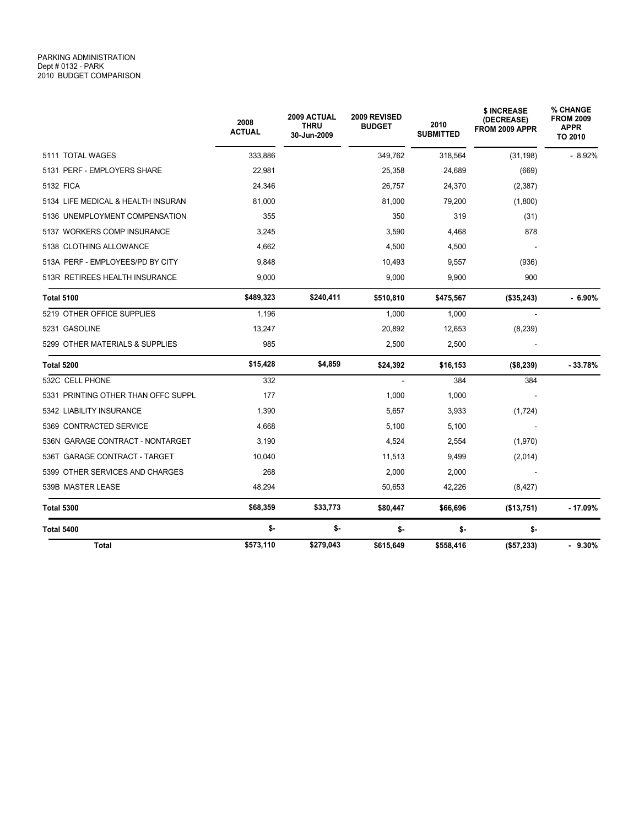|                                     | 2008<br><b>ACTUAL</b> | <b>2009 ACTUAL</b><br><b>THRU</b><br>30-Jun-2009 | 2009 REVISED<br><b>BUDGET</b> | 2010<br><b>SUBMITTED</b> | \$ INCREASE<br>(DECREASE)<br>FROM 2009 APPR | % CHANGE<br><b>FROM 2009</b><br><b>APPR</b><br>TO 2010 |
|-------------------------------------|-----------------------|--------------------------------------------------|-------------------------------|--------------------------|---------------------------------------------|--------------------------------------------------------|
| 5111 TOTAL WAGES                    | 333,886               |                                                  | 349,762                       | 318,564                  | (31, 198)                                   | $-8.92%$                                               |
| 5131 PERF - EMPLOYERS SHARE         | 22,981                |                                                  | 25,358                        | 24,689                   | (669)                                       |                                                        |
| 5132 FICA                           | 24,346                |                                                  | 26,757                        | 24,370                   | (2, 387)                                    |                                                        |
| 5134 LIFE MEDICAL & HEALTH INSURAN  | 81,000                |                                                  | 81,000                        | 79,200                   | (1,800)                                     |                                                        |
| 5136 UNEMPLOYMENT COMPENSATION      | 355                   |                                                  | 350                           | 319                      | (31)                                        |                                                        |
| 5137 WORKERS COMP INSURANCE         | 3,245                 |                                                  | 3,590                         | 4,468                    | 878                                         |                                                        |
| 5138 CLOTHING ALLOWANCE             | 4,662                 |                                                  | 4,500                         | 4,500                    |                                             |                                                        |
| 513A PERF - EMPLOYEES/PD BY CITY    | 9,848                 |                                                  | 10,493                        | 9,557                    | (936)                                       |                                                        |
| 513R RETIREES HEALTH INSURANCE      | 9,000                 |                                                  | 9,000                         | 9,900                    | 900                                         |                                                        |
| <b>Total 5100</b>                   | \$489,323             | \$240,411                                        | \$510,810                     | \$475,567                | (\$35,243)                                  | $-6.90\%$                                              |
| 5219 OTHER OFFICE SUPPLIES          | 1.196                 |                                                  | 1,000                         | 1.000                    |                                             |                                                        |
| 5231 GASOLINE                       | 13,247                |                                                  | 20,892                        | 12,653                   | (8, 239)                                    |                                                        |
| 5299 OTHER MATERIALS & SUPPLIES     | 985                   |                                                  | 2,500                         | 2,500                    |                                             |                                                        |
| Total 5200                          | \$15,428              | \$4,859                                          | \$24,392                      | \$16,153                 | ( \$8, 239)                                 | $-33.78%$                                              |
| 532C CELL PHONE                     | 332                   |                                                  |                               | 384                      | 384                                         |                                                        |
| 5331 PRINTING OTHER THAN OFFC SUPPL | 177                   |                                                  | 1,000                         | 1,000                    |                                             |                                                        |
| 5342 LIABILITY INSURANCE            | 1,390                 |                                                  | 5,657                         | 3,933                    | (1, 724)                                    |                                                        |
| 5369 CONTRACTED SERVICE             | 4,668                 |                                                  | 5,100                         | 5,100                    |                                             |                                                        |
| 536N GARAGE CONTRACT - NONTARGET    | 3,190                 |                                                  | 4,524                         | 2,554                    | (1,970)                                     |                                                        |
| 536T GARAGE CONTRACT - TARGET       | 10.040                |                                                  | 11,513                        | 9,499                    | (2,014)                                     |                                                        |
| 5399 OTHER SERVICES AND CHARGES     | 268                   |                                                  | 2,000                         | 2,000                    |                                             |                                                        |
| 539B MASTER LEASE                   | 48,294                |                                                  | 50,653                        | 42,226                   | (8, 427)                                    |                                                        |
| <b>Total 5300</b>                   | \$68,359              | \$33,773                                         | \$80,447                      | \$66,696                 | (\$13,751)                                  | $-17.09%$                                              |
| Total 5400                          | \$-                   | \$-                                              | \$-                           | \$-                      | \$-                                         |                                                        |
| Total                               | \$573,110             | \$279,043                                        | \$615,649                     | \$558,416                | (\$57,233)                                  | $-9.30%$                                               |